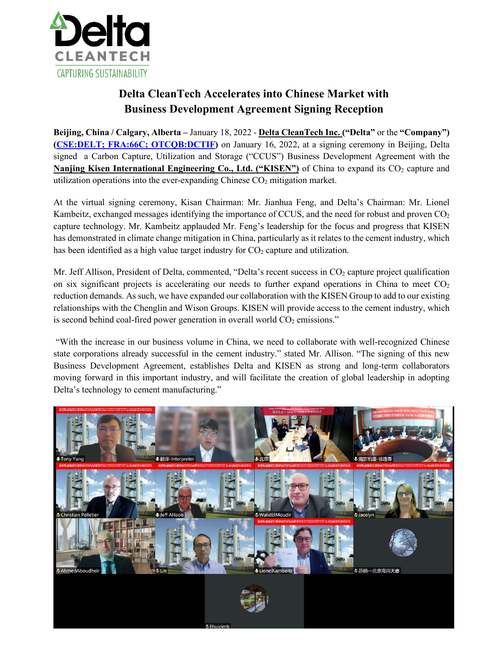

# **Delta CleanTech Accelerates into Chinese Market with Business Development Agreement Signing Reception**

**Beijing, China / Calgary, Alberta –** January 18, 2022 - **[Delta CleanTech Inc.](https://deltacleantech.ca/) ("Delta"** or the **"Company") [\(CSE:DELT; FRA:66C;](https://www.thecse.com/en/listings/cleantech/delta-cleantech-inc) OTCQB:DCTIF)** on January 16, 2022, at a signing ceremony in Beijing, Delta signed a Carbon Capture, Utilization and Storage ("CCUS") Business Development Agreement with the **Nanjing Kisen International Engineering Co., Ltd. ("KISEN")** of China to expand its CO<sub>2</sub> capture and utilization operations into the ever-expanding Chinese  $CO<sub>2</sub>$  mitigation market.

At the virtual signing ceremony, Kisan Chairman: Mr. Jianhua Feng, and Delta's Chairman: Mr. Lionel Kambeitz, exchanged messages identifying the importance of CCUS, and the need for robust and proven  $CO<sub>2</sub>$ capture technology. Mr. Kambeitz applauded Mr. Feng's leadership for the focus and progress that KISEN has demonstrated in climate change mitigation in China, particularly as it relates to the cement industry, which has been identified as a high value target industry for  $CO<sub>2</sub>$  capture and utilization.

Mr. Jeff Allison, President of Delta, commented, "Delta's recent success in  $CO<sub>2</sub>$  capture project qualification on six significant projects is accelerating our needs to further expand operations in China to meet  $CO<sub>2</sub>$ reduction demands. As such, we have expanded our collaboration with the KISEN Group to add to our existing relationships with the Chenglin and Wison Groups. KISEN will provide access to the cement industry, which is second behind coal-fired power generation in overall world  $CO<sub>2</sub>$  emissions."

"With the increase in our business volume in China, we need to collaborate with well-recognized Chinese state corporations already successful in the cement industry." stated Mr. Allison. "The signing of this new Business Development Agreement, establishes Delta and KISEN as strong and long-term collaborators moving forward in this important industry, and will facilitate the creation of global leadership in adopting Delta's technology to cement manufacturing."